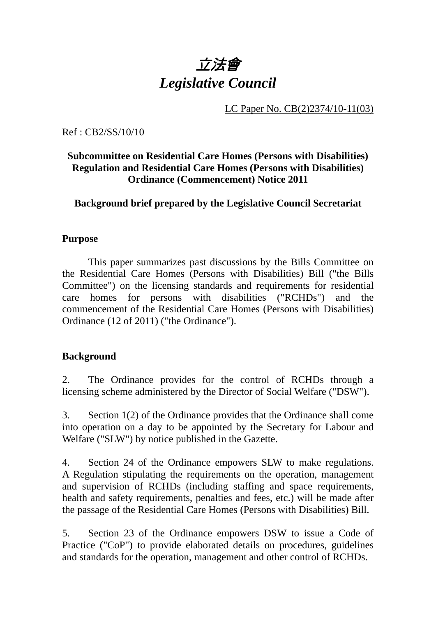

LC Paper No. CB(2)2374/10-11(03)

Ref : CB2/SS/10/10

# **Subcommittee on Residential Care Homes (Persons with Disabilities) Regulation and Residential Care Homes (Persons with Disabilities) Ordinance (Commencement) Notice 2011**

# **Background brief prepared by the Legislative Council Secretariat**

#### **Purpose**

This paper summarizes past discussions by the Bills Committee on the Residential Care Homes (Persons with Disabilities) Bill ("the Bills Committee") on the licensing standards and requirements for residential care homes for persons with disabilities ("RCHDs") and the commencement of the Residential Care Homes (Persons with Disabilities) Ordinance (12 of 2011) ("the Ordinance").

# **Background**

2. The Ordinance provides for the control of RCHDs through a licensing scheme administered by the Director of Social Welfare ("DSW").

3. Section 1(2) of the Ordinance provides that the Ordinance shall come into operation on a day to be appointed by the Secretary for Labour and Welfare ("SLW") by notice published in the Gazette.

4. Section 24 of the Ordinance empowers SLW to make regulations. A Regulation stipulating the requirements on the operation, management and supervision of RCHDs (including staffing and space requirements, health and safety requirements, penalties and fees, etc.) will be made after the passage of the Residential Care Homes (Persons with Disabilities) Bill.

5. Section 23 of the Ordinance empowers DSW to issue a Code of Practice ("CoP") to provide elaborated details on procedures, guidelines and standards for the operation, management and other control of RCHDs.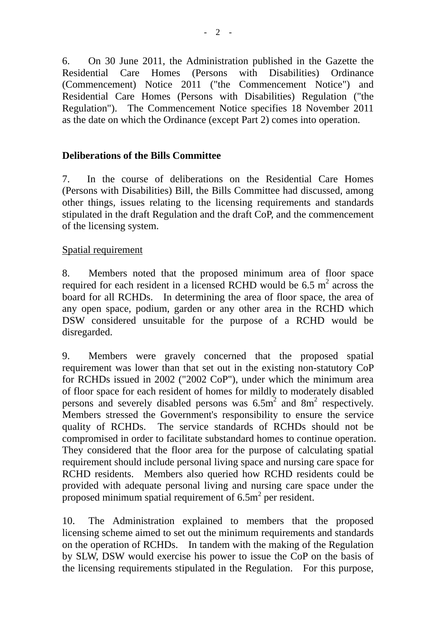6. On 30 June 2011, the Administration published in the Gazette the Residential Care Homes (Persons with Disabilities) Ordinance (Commencement) Notice 2011 ("the Commencement Notice") and Residential Care Homes (Persons with Disabilities) Regulation ("the Regulation"). The Commencement Notice specifies 18 November 2011 as the date on which the Ordinance (except Part 2) comes into operation.

#### **Deliberations of the Bills Committee**

7. In the course of deliberations on the Residential Care Homes (Persons with Disabilities) Bill, the Bills Committee had discussed, among other things, issues relating to the licensing requirements and standards stipulated in the draft Regulation and the draft CoP, and the commencement of the licensing system.

#### Spatial requirement

8. Members noted that the proposed minimum area of floor space required for each resident in a licensed RCHD would be 6.5  $m^2$  across the board for all RCHDs. In determining the area of floor space, the area of any open space, podium, garden or any other area in the RCHD which DSW considered unsuitable for the purpose of a RCHD would be disregarded.

9. Members were gravely concerned that the proposed spatial requirement was lower than that set out in the existing non-statutory CoP for RCHDs issued in 2002 ("2002 CoP"), under which the minimum area of floor space for each resident of homes for mildly to moderately disabled persons and severely disabled persons was  $6.5\text{m}^2$  and  $8\text{m}^2$  respectively. Members stressed the Government's responsibility to ensure the service quality of RCHDs. The service standards of RCHDs should not be compromised in order to facilitate substandard homes to continue operation. They considered that the floor area for the purpose of calculating spatial requirement should include personal living space and nursing care space for RCHD residents. Members also queried how RCHD residents could be provided with adequate personal living and nursing care space under the proposed minimum spatial requirement of  $6.5m<sup>2</sup>$  per resident.

10. The Administration explained to members that the proposed licensing scheme aimed to set out the minimum requirements and standards on the operation of RCHDs. In tandem with the making of the Regulation by SLW, DSW would exercise his power to issue the CoP on the basis of the licensing requirements stipulated in the Regulation. For this purpose,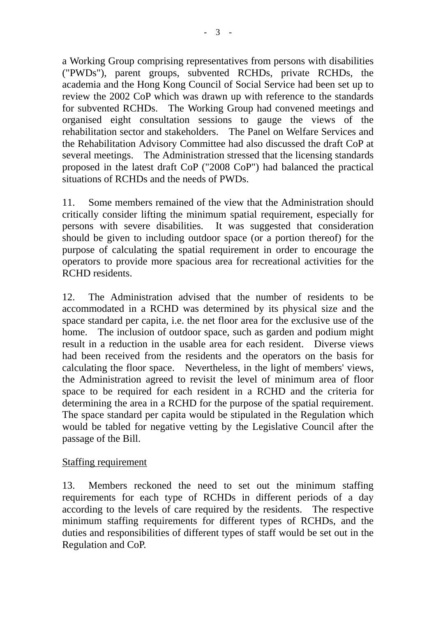a Working Group comprising representatives from persons with disabilities ("PWDs"), parent groups, subvented RCHDs, private RCHDs, the academia and the Hong Kong Council of Social Service had been set up to review the 2002 CoP which was drawn up with reference to the standards for subvented RCHDs. The Working Group had convened meetings and organised eight consultation sessions to gauge the views of the rehabilitation sector and stakeholders. The Panel on Welfare Services and the Rehabilitation Advisory Committee had also discussed the draft CoP at several meetings. The Administration stressed that the licensing standards proposed in the latest draft CoP ("2008 CoP") had balanced the practical situations of RCHDs and the needs of PWDs.

11. Some members remained of the view that the Administration should critically consider lifting the minimum spatial requirement, especially for persons with severe disabilities. It was suggested that consideration should be given to including outdoor space (or a portion thereof) for the purpose of calculating the spatial requirement in order to encourage the operators to provide more spacious area for recreational activities for the RCHD residents.

12. The Administration advised that the number of residents to be accommodated in a RCHD was determined by its physical size and the space standard per capita, i.e. the net floor area for the exclusive use of the home. The inclusion of outdoor space, such as garden and podium might result in a reduction in the usable area for each resident. Diverse views had been received from the residents and the operators on the basis for calculating the floor space. Nevertheless, in the light of members' views, the Administration agreed to revisit the level of minimum area of floor space to be required for each resident in a RCHD and the criteria for determining the area in a RCHD for the purpose of the spatial requirement. The space standard per capita would be stipulated in the Regulation which would be tabled for negative vetting by the Legislative Council after the passage of the Bill.

# Staffing requirement

13. Members reckoned the need to set out the minimum staffing requirements for each type of RCHDs in different periods of a day according to the levels of care required by the residents. The respective minimum staffing requirements for different types of RCHDs, and the duties and responsibilities of different types of staff would be set out in the Regulation and CoP.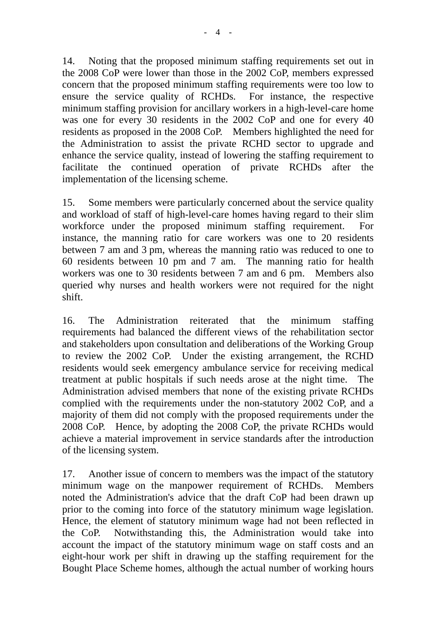14. Noting that the proposed minimum staffing requirements set out in the 2008 CoP were lower than those in the 2002 CoP, members expressed concern that the proposed minimum staffing requirements were too low to ensure the service quality of RCHDs. For instance, the respective minimum staffing provision for ancillary workers in a high-level-care home was one for every 30 residents in the 2002 CoP and one for every 40 residents as proposed in the 2008 CoP. Members highlighted the need for the Administration to assist the private RCHD sector to upgrade and enhance the service quality, instead of lowering the staffing requirement to facilitate the continued operation of private RCHDs after the implementation of the licensing scheme.

15. Some members were particularly concerned about the service quality and workload of staff of high-level-care homes having regard to their slim workforce under the proposed minimum staffing requirement. For instance, the manning ratio for care workers was one to 20 residents between 7 am and 3 pm, whereas the manning ratio was reduced to one to 60 residents between 10 pm and 7 am. The manning ratio for health workers was one to 30 residents between 7 am and 6 pm. Members also queried why nurses and health workers were not required for the night shift.

16. The Administration reiterated that the minimum staffing requirements had balanced the different views of the rehabilitation sector and stakeholders upon consultation and deliberations of the Working Group to review the 2002 CoP. Under the existing arrangement, the RCHD residents would seek emergency ambulance service for receiving medical treatment at public hospitals if such needs arose at the night time. The Administration advised members that none of the existing private RCHDs complied with the requirements under the non-statutory 2002 CoP, and a majority of them did not comply with the proposed requirements under the 2008 CoP. Hence, by adopting the 2008 CoP, the private RCHDs would achieve a material improvement in service standards after the introduction of the licensing system.

17. Another issue of concern to members was the impact of the statutory minimum wage on the manpower requirement of RCHDs. Members noted the Administration's advice that the draft CoP had been drawn up prior to the coming into force of the statutory minimum wage legislation. Hence, the element of statutory minimum wage had not been reflected in the CoP. Notwithstanding this, the Administration would take into account the impact of the statutory minimum wage on staff costs and an eight-hour work per shift in drawing up the staffing requirement for the Bought Place Scheme homes, although the actual number of working hours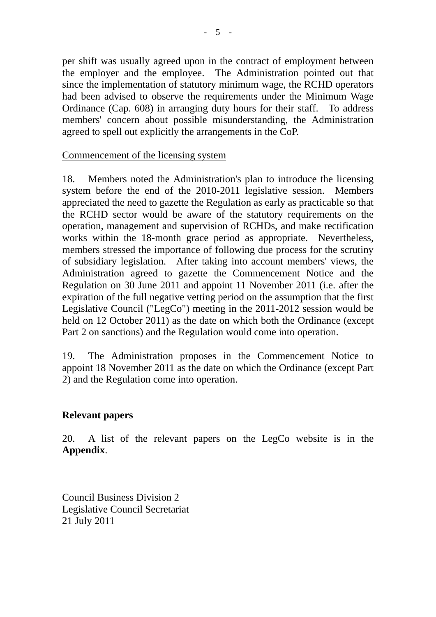per shift was usually agreed upon in the contract of employment between the employer and the employee. The Administration pointed out that since the implementation of statutory minimum wage, the RCHD operators had been advised to observe the requirements under the Minimum Wage Ordinance (Cap. 608) in arranging duty hours for their staff. To address members' concern about possible misunderstanding, the Administration agreed to spell out explicitly the arrangements in the CoP.

#### Commencement of the licensing system

18. Members noted the Administration's plan to introduce the licensing system before the end of the 2010-2011 legislative session. Members appreciated the need to gazette the Regulation as early as practicable so that the RCHD sector would be aware of the statutory requirements on the operation, management and supervision of RCHDs, and make rectification works within the 18-month grace period as appropriate. Nevertheless, members stressed the importance of following due process for the scrutiny of subsidiary legislation. After taking into account members' views, the Administration agreed to gazette the Commencement Notice and the Regulation on 30 June 2011 and appoint 11 November 2011 (i.e. after the expiration of the full negative vetting period on the assumption that the first Legislative Council ("LegCo") meeting in the 2011-2012 session would be held on 12 October 2011) as the date on which both the Ordinance (except Part 2 on sanctions) and the Regulation would come into operation.

19. The Administration proposes in the Commencement Notice to appoint 18 November 2011 as the date on which the Ordinance (except Part 2) and the Regulation come into operation.

#### **Relevant papers**

20. A list of the relevant papers on the LegCo website is in the **Appendix**.

Council Business Division 2 Legislative Council Secretariat 21 July 2011